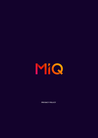

**PRIVACY POLICY**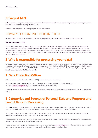# **Privacy at MiQ**

At MiQ, privacy is a top priority and we provide the below Privacy Policies to outline our practices and procedures to enable you to make an informed decision about sharing information with us.

We have 2 separate policies, depending on your country of residence:

# PRIVACY FOR ONLINE USERS IN THE EU

EU privacy notice for visitors to our website, users of third-party websites, our business contacts and visitors to our premises.

#### **Effective Date: January 1, 2020**

MiQ Digital Limited ("MiQ" or "we" or "us" or "our") is committed to protecting the personal data of individuals whose personal data we process. Please take the time to read this privacy notice, since it contains important information about how we collect, use, disclose and otherwise process personal data concerning the following types of data subjects: individuals who use this website; visitors to other publishers' websites whose browsing activities we analyse as part of digital advertising campaigns; business and marketing contacts; and visitors to our physical premises.

# **1 Who is responsible for processing your data?**

For the purpose of the General Data Protection Regulation 2016/679 and any implementing legislation (the "GDPR"), MiQ Digital Limited is the data controller responsible for any personal data we process, 6th Floor Charlotte Building, 17 Gresse Street, London, United Kingdom, W1T 1QL, UK, registration number (07321732). MiQ is part of the MiQ group of companies with offices in India, US, Germany, UK, and Canada (please see the list of affiliates in Annex 1).

# **2 Data Protection Officer**

MiQ has appointed a Data Protection Officer ("DPO"), who may be contacted as follows:

via post: ePrivacy GmbH, represented by Prof. Dr. Christoph Bauer, Grosse Bleichen 21, 20354 Hamburg, DE via email: privacy@miqdigital.com (which will reach representatives from our DPO)

Questions, comments and other communications regarding this privacy notice, or our privacy practices in general, should be directed to our DPO.

# **3 Categories and Sources of Personal Data and Purposes and Lawful Basis for Processing**

MiQ is a technology company operating in the digital advertising ecosystem. We use data analytics to help our clients (advertisers, media agencies, brands) to advertise their ads on various websites that allow third party advertising, so called 'publishers'.

We develop insights into the browsing behaviour of website users for our clients or for publishers in order to develop targeted digital advertising campaigns for our clients that create a better user experience.

We participate in various industry schemes that are designed to ensure that any user-level personal data we process for these purposes is collected and processed on the basis of the user's consent.

We also collect and process personal data about visitors to our own website [\(www.wearemiq.com](http://www.wearemiq.com)), as well as business contact data relating to the account representatives of our customers and vendors, and visitors to our physical premises.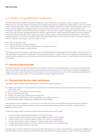# 3.1 Visitors to publishers' websites

The following content is prohibited: hate speech, defamation, tobacco, explosives and weapons, nudity, pornography, obscenity, references to sex or sexuality, illegal and recreational drugs, illegal pharmaceuticals or paraphernalia, illegal activities, violence, profanities, morally reprehensible content, piracy, misappropriation of copyright, trademark, trade secret, or patent, counterfeit goods, government forms or services, dangerous or derogatory content, shocking content, sensitive events, animal cruelty, malware, spyware, autodownloads, auto-redirect, content that interferes with navigation or with other ads, unusual CTR, deceptive content that intends to, or does, induce user action through misleading appearance or behaviour, fake hyperlinks, content resembling Windows, Unix or Mac dialogue boxes, fake interactivity, free gifts, links to quizzes and surveys, misleading claims, content enabling dishonest behaviour, content which attempts to reveal a user's sensitive characteristics and/or attempts to exploit these, or which could be viewed to discriminate, embarrass, offend or otherwise cause a legal or significant impact on a user.

- $\blacktriangleright$  A Sources of personal data
- $\blacktriangleright$  B Personal data that we collect and process
- $\blacktriangleright$  C Why do we collect your personal data and what are our lawful bases for it?
- D How long do we keep your personal data?

MiQ analyses web browsing usage in order to provide our clients (advertisers and media agencies) with the ability to improve returns on their digital advertising spend by enabling them to serve ads that are relevant to website visitors.We use cookies and similar applications to develop marketing insights about user preferences, sometime in combination with other data sets, in order to better match ad content with user interests.

## **A – Sources of personal data**

The websites that users visit may allow third parties, such as MiQ, to set cookies or similar applications on user devices or browsers when they visit the websites. We collect and analyse the data obtained via these applications. We may combine this data with aggregate data obtained from social media companies and market research firms, and user-level data from other advertising technology companies that support our services in various ways, such as fraud prevention through the detection of "bots."

## **B – Personal data that we collect and process**

MiQ collects various categories of personal data at the user level, including the following:

- IP address, which helps us to understand the broad location of a user Device ID (when users access websites on mobile devices), such as IDFA, AAID, SHA1
- User ID stored in a cookie placed on a user's browser
- **Latitude-longitude location data**
- Timestamp on accessing the website and the website URL
- Enrichment data collected about you from third parties, such as Nielsen & Eyeota.
- **T** Tweets & Twitter handles, made publicly available via the Twitter platform

User interactions with the ad placed, i.e. we will know if a user clicks on it or the user's browser & operating system type. Sometimes advertisers may provide us with information on what users have previously purchases from them and when, in order to make our predictions more accurate.

Cookie technology is placed on devices to assist with the ad delivery process. This includes:

- 1. A user ID cookie to support ad personalisation, which lasts for 90 days
- 2. An opt-out cookie to store your opt-out and consent preferences, which lasts for 90 days
- 3. A session cookie to see if a browser supports cookies, which lasts for 1 browsing session
- 4. A cookie which limits the number of ads which a given user sees, which lasts for 90 days
- 5. A cookie which denotes whether a user ID is synced with other partners in the ad-serving chain
- 6. A cookie which supports billing and reporting.

Although we do not collect information that directly identifies individual users by name or physical address, we collect your IP address and other information about you which may make this information personal data. For example, based on a user's historic browsing behaviour,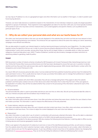we may map an IP address to a city or a geographical region and other information such as weather in that region, in order to predict users' future buying decisions.

However, we never make decisions or predictions based on the characteristics of one individual. Instead we usually only target population segments or groups of individuals. These segments involve aggregated user data of no less than 1,500 users, but more typically hundreds of thousands of users who may share common characteristics, such as demographics and specific interests, such as preferences for particular types of cars.

### **C – Why do we collect your personal data and what are our lawful bases for it?**

We collect user-level personal data so that users can see ads displayed on the websites they visit which we think are most relevant to them based on their browsing behaviour and interests. This enhances the user experience while at the same time making our clients' advertising campaigns more efficient and effective.

We use data analytics to predict user interests based on machine-learning techniques involving the use of algorithms. Our data scientists regularly review the algorithms that we use in order to ensure they are properly adjusted and error-free. MiQ has approved an "Pixel Implementation" policy which provides, among other things, that we will not target children or vulnerable adults or collect any special categories of personal data about users. MiQ's "Creative Guidelines" prohibit any discriminatory messages and place restrictions on advertising related to gambling, health & politics.

#### *Consent*

MiQ has joined a number of industry schemes including the IAB Transparency & Consent Framework (http://advertisingconsent.eu/) and Your Online Ad Choices (http://www.youronlinechoices.com) that have been developed to ensure that users are in a position to decide whether and how they want their web browser data used for digital advertising purposes. MiQ's Vendor Identification number within the transparency and consent framework is 101.

As a result, MiQ will not process personal data unless it can be evidenced that their publisher & advertiser partners have first obtained the users' permission to do so. This is usually done by means of a pop-up window that enables users to manage their preferences in regard to cookie application and related data processing.

When a user visits a website with which MiQ is associated, they will see a message asking them if they agree to allow the website publisher's and third-party cookies to be set on their device and collect information from it when they first visit it. If the user agrees to the application of cookies, they will then be asked whether they consent to the processing of the information collected for each of the following purposes:

#### Ad personalisation

The personal data We collect is used to personalise ads that you see over time on other sites. We will use the personal data We collect to infer your interests and place ads that we believe may of interest to you.

#### Ad selection, reporting and delivery

We collect information about what ads were shown, how often and when and where they were shown, whether the user clicked on them and made a purchase. This information is used to measure the effectiveness of the ads presented.

#### Content delivery, selection and reporting

We collect and analyse information about the user's interests and what content was shown, how often, when and where, and whether the user clicked on what was shown. This is done to adjust the content displayed to the user to be most relevant.

#### **Measurement**

We collect information on web visitors' use of content in combination with previously collected information. We use this data to understand and report on their use of content to our advertising clients or for MiQ's internal quality assurance purposes. In the process of using data for the above purposes, MiQ also employs the following technical features: i) matching data to offline sources, ii) linking devices and iii) precise geographic location data.

When a user agrees to the placement of cookies by Us and one or more of the identified processing activities, we will receive a message from the website where the visitor's selection has been made, notifying Us that We have permission to set a cookie, collect information on the user's device and use it for the agreed purposes. A user may withdraw consent at any time on the websites visited or by changing their preferences on [www.youronlinechoices.eu.](http://www.youronlinechoices.eu.) They can do this by finding the reference to MiQ and withdrawing their consent.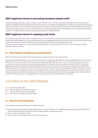## **MiQ's legitimate interest in preventing fraudulent website traffic**

We also process personal data in order to detect the use of internet "bots" or similar functionality intended to distort the popularity of websites and digital ads by simulating human browsing activity. If a user agrees to the placement of a cookie and accepts the processing of their personal data for one or more of the purposes described above, our ability to detect this type of fraudulent behaviour is important to ensure that the data we rely on to cater to user preferences is not distorted by false inputs. We therefore use a third-party vendor to assess whether the IP addresses that we are processing are associated with fraudulent activity.

## **MiQ's legitimate interest in analysing social trends**

We also process personal data in order to analyse trends in social media activity. This involves analysing common keywords that appear in public posts made available on the Twitter platform and producing aggregated insights from these to inform our advertisers about current social trends. We may use Twitter handles to identify trends relating to companies and popular personalities. Should a user wish to object to our processing of their personal data for these purposes, they may do so by contacting our DPO as indicated in Section 2 above.

## **D – How long do we keep your personal data?**

MiQ minimises the personal data it collects about users and retains the data for only limited periods.

Raw data that MiQ collects about user online activities is kept for no longer than 180 days from the date collected and is stored in a secure environment. The user-level data is either anonymised or aggregated after 180 days, which means the information is expressed only in a summary form about user behaviour representing large groups of individuals. Anonymous data may be kept at MiQ for 2 years and aggregated information relating to financial performance stored for up to 7 years for accounting and audit purposes. During the initial 180-day period, the information about user online behaviour is used to better target the ad campaigns and adjust the audience to ensure the ad is displayed to user groups that may be most interested in the product or service advertised. The data collected as part of the ad campaign may be used to develop insight reports for MiQ clients concerning advertising trends and campaign results. These reports are based on data that is provided in an aggregated form and does not allow for the identification of individuals.

# 3.2 Visitors to this MiQ Website

- $\blacktriangleright$  A Sources of personal data
- $\blacktriangleright$  B Personal data that We collect and process
- ► C Why do We collect your personal data?
- D How long do we keep your personal data?

## **A – Sources of personal data**

We may obtain your personal data from the following sources:

- **F** from you directly (for example, through subscribing to any services offered on our website [\(www.wearemiq.com\)](http://www.wearemiq.com), including but not limited to email mailing lists, interactive services, posting material or requesting services);
- from your device or browser; and/or
- $\blacktriangleright$  if you contact us, we may keep a record of that correspondence.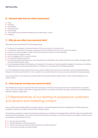## **B - Personal data that we collect and process**

- name;
- username;
- email address
- operating system;
- **browser type;**
- $\bullet$  cookie data (for more information please see the Cookie Notice ; and/or
- IP address.

## **C - Why do we collect your personal data?**

We process your personal data for the following purposes:

- To allow you to participate in interactive features of Our service when you choose to do so;
- to ensure that content from Our website is presented in the most effective manner for you and for your device;
- to allow Us to share information in order to provide any product or service you have requested;
- for the provision of support services;
- **F** for the management of Our customer records;
- $\blacktriangleright$  for system administration purposes;
- for monitoring statistical data about Our users' browsing actions and patterns, the number of visitors to Our website, the pages visited and how long they stayed; and/or
- to exchange personal data with MiQ group of companies for the purpose of reporting, global management, carrying out monitoring, analysing business, and any other purposes that is incidental to or connected with the foregoing purposes.

It is in Our legitimate interests to promote Our services via Our website and to process your information for the purposes listed above. Please do not submit your information to via Our website, if you would not like Us to process your personal data for the above purpose.

If you would prefer Us not to process your personal data for the purposes above, please contact our DPO using the details set out in section 2 above.

## **D - How long do we keep your personal data?**

We will keep and process your personal data only for as long as is necessary for the purposes for which it was collected in connection with your use of our website, unless there is a legal requirement for us to keep it for longer or the data is necessary for the establishment, exercise or defence of legal claims.

# 3.3 Representatives of our existing or prospective customers and vendors and marketing contacts

We may collect personal data related to employees, directors, authorised signatories and other representatives of MiQ's existing and prospective customers or vendors as well as other marketing contacts.

Our existing or prospective customers are typically media agencies or advertisers that engage MiQ to help them improve the performance of their advertising campaigns. Our vendors include service providers that supply us with services that we use to deliver or enhance our ad personalisation and placement services.

- $\blacktriangleright$  A Sources of personal data
- $\blacktriangleright$  B Personal data that we collect and process
- C Why do we collect your personal data and what are our lawful bases for it?
- D How long do we keep your personal data?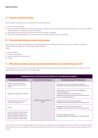## **A – Sources of personal data**

We may obtain these types of personal data from the following sources:

- $\blacksquare$  from the individual directly,
- from a company that employs the individual if they are an employee of an existing or prospective MiQ customer or vendor, from MiQ's affiliates (please see Annex 1 for a list of our affiliates);
- **during networking events that we have either hosted, sponsored or attended;**
- and/or from publicly available sources (for example, your company website or social media sites)

## **B – Personal data that we collect and process**

We may collect the following categories of personal data relating to our existing or prospective customers' or vendors' employees, officers, authorised signatories, and other associated individuals: name;

- **business address;**
- business email address;
- **business telephone number; and/or**
- **v** job title.

## **C – Why do we collect your personal data and what are our lawful bases for it?**

The purposes for which we collect and process the above-referenced categories of personal data about our business contacts, and the lawful basis for doing so, are set out in the table below.

| REPRESENTATIVES OF OUR EXISTING OR PROSPECTIVE CUSTOMERS AND VENDORS                                                                                                                             |                                              |                                                                                                                                                                                                                                   |  |  |
|--------------------------------------------------------------------------------------------------------------------------------------------------------------------------------------------------|----------------------------------------------|-----------------------------------------------------------------------------------------------------------------------------------------------------------------------------------------------------------------------------------|--|--|
| We may use personal data to:                                                                                                                                                                     | Our lawful basis for doing so is:            | Our business purpose for doing so are:                                                                                                                                                                                            |  |  |
| Provide our services to clients or<br>receive products or services from<br>vendors                                                                                                               | Legitimate Interest of MiQ or our<br>Clients | Efficiently fulfil our contractual and legal obligations<br>Management Reporting (including at an intra-group level)                                                                                                              |  |  |
| Establish and manage our relationship                                                                                                                                                            |                                              | Efficiently fulfil our contractual and legal obligations<br><b>Account Management</b><br>Understand the market in which we operate<br>Management Reporting (including at an intra-group level)<br>Exercise or defend legal claims |  |  |
| Learn about how our products and<br>services are or may be used                                                                                                                                  |                                              | Understand the market in which we operate<br>Management Reporting (including at an intra-group level)                                                                                                                             |  |  |
| Security                                                                                                                                                                                         |                                              | Managing security, risk and fraud prevention<br>Management Reporting (including at an intra-group level)                                                                                                                          |  |  |
| Let clients and potential clients know<br>about our products, services and<br>events that may be of interest to you<br>by letter, telephone, email or other<br>forms of electronic communication |                                              | Promote our goods and services<br>Management Reporting (including at an intra-group level)                                                                                                                                        |  |  |

If you object to our using your personal data for these purposes, including direct marketing, please contact our DPO as indicated in Section 2 above. Where we use your email to communicate marketing information to you we will seek your prior consent where required to do so by law.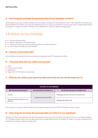## **D - How long do we keep the personal data of our business contacts?**

We will keep and process your personal data only for as long as is necessary for the purposes for which it was collected. We will keep your personal data for the duration of our business relationship and once it ends, we will delete it securely unless there is a legal requirement for us to keep it for longer or the data is necessary for the establishment, exercise or defence of legal claims.

# 3.4 Visitors to Our Premises

- $\blacktriangleright$  A Sources of personal data
- $\blacktriangleright$  B Personal data that we collect and process
- ▼ C Why do we collect your personal data and what are our lawful bases for it?
- D How long do we keep your personal data?

## **A – Sources of personal data**

We may obtain your personal data from you directly via registration and CCTV placed at our offices.

### **B – Personal data that we collect and process**

- name;
- business contact details;
- **v** organisation;
- **F** image, from CCTV cameras at our premises.

## **C – Why do we collect your personal data and what are our lawful bases for it?**

| <b>VISITORS TO OUR PREMISES</b>                 |                                   |                                              |  |
|-------------------------------------------------|-----------------------------------|----------------------------------------------|--|
| We may use personal data to:                    | Our lawful basis for doing so is: | Our business purpose for doing so are:       |  |
| Security                                        | Legitimate Interest of MiQ        | Managing security, risk and crime prevention |  |
| Maintain records of visitors to our<br>premises |                                   | Management Reporting                         |  |

If you object to us using your personal data for these purposes, please contact our DPO as indicated in Section 2 above.

### **D - How long do we keep the personal data of visitors to our premises?**

We keep our visitors' personal data for as long as necessary to ensure security of our office visitors and as soon as it is no longer necessary. CCTV footage is stored in back-up for 30 days, unless there is a legal requirement for us to keep it for longer or the data is necessary for the establishment, exercise or defence of legal claims.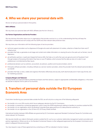# **4. Who we share your personal data with**

We do not sell your personal data to third parties.

#### **MiQ's Affiliates**

We may share your personal data with MiQ's affiliates (see the list in Annex 1).

#### **Our Partner Organisations and Service Providers**

We may disclose information about you to organisations that provide a service to us, on the understanding that they will keep the information confidential and will comply with the GDPR and other relevant data protection laws.

We may share your information with the following types of service providers:

- technical support providers such as Appnexus & Google who assist with placement of cookies, collection of data from them and IT infrastructure;
- providers that help us generate an ad image and content and collate information on viewing the ad on the web such as Sizmek, Jivox & Appnexus;
- ad verification partners, in particular Integral Ad Science (IAS), that help us to verify that users are genuine and not fraudulent 'bots' through analysis of browsing information they have on your IP address, which ensures that the data we rely on to cater to user preferences is not distorted by false inputs;
- professional advisers such as solicitors, accountants, tax advisors, auditors and insurance brokers; and/or
- third party software providers, including 'software as a service' solution providers, where the provider hosts the relevant personal data on our behalf;
- providers that help us store, collate and organise information effectively and securely, both electronically and in hard copy format, and for marketing purposes.

#### **Company Mergers and Takeovers**

We may transfer your personal data to potential purchasers and their advisors, subject to appropriate confidentiality obligations, in the event we decide to dispose of all or parts of our business.

# **5. Transfers of personal data outside the EU/European Economic Area**

If and when transferring your personal data outside the EEA, we will only do so using one of the following safeguards:

- $\triangleright$  the transfer is to a non-EEA country which has an adequacy decision by the EU Commission;
- the transfer is covered by a contractual agreement, which covers the GDPR requirements relating to transfers to countries outside the EEA;
- the transfer is to an organisation which has Binding Corporate Rules approved by an EU data protection authority; or
- the transfer is to an organisation in the US that is EU-US Privacy Shield certified.

International transfers between MiQ affiliates are governed by EU Commission-approved Standard Contractual Clauses for Controllers and, where relevant, for Processors.

We may also transfer your data to third-party vendors outside the EU, such as our customer relationship management systems providers and partner organisations. Where we do so, the Standard Contractual Clauses or other safeguards approved by the European Commission are in place to safeguard that personal data.

You may request a copy of these agreements by contacting our DPO as indicated in Section 2 above.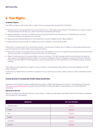# **6 Your Rights**

#### **EU PRIVACY RIGHTS**

The GDPR provides you with certain rights in relation to the processing of your personal data, including to:

- Request access to personal data about you (commonly known as a "data subject access request"). This enables you to receive a copy of the personal data we hold about you, and to check that we are lawfully processing it.
- Request rectification, correction, or updating to any of the personal data that we hold about you. This enables you to have any inaccurate information we hold about you corrected.
- Request personal data provided by you to be transferred in machine-readable format ("data portability").
- Request erasure of personal data. This enables you to ask us to delete or remove personal data.

Where there is no good reason for us continuing to process it. You also have the right to ask us to delete or remove personal data where you have exercised your right to object to processing (see below).

- Request the restriction of processing of your personal data. This enables you to ask us to suspend the processing of personal data about you (e.g. if you want us to establish its accuracy or the reason for processing it).
- **Object to the processing of your personal data in certain circumstances. This right may apply where the processing of your personal** data is based on the legitimate interests of MiQ or our clients, as explained in Section 3 'Categories and Sources of Personal Data and Purposes and Lawful Basis for Processing' above, or where decisions about you are based solely on automated processing, including profiling.

These rights are not absolute and are subject to various conditions under applicable data protection and privacy legislation and other relevant legislation.

If at any time you decide that you would like to exercise any of your rights as set out above, please contact our DPO as indicated in Section 2 above.

#### **CHOICES RELATED TO COOKIES AND INTEREST-BASED ADVERTISING**

We adhere to the European Interactive Digital Advertising Alliance ("EDAA") Self-Regulatory Principles for Online Behavioral Advertising. Visit [www.youronlinechoices.com](https://www.youronlinechoices.com/) to exercise choice with respect to EDAA participants, including opting out of Online Behavioral Advertising.

#### **Web Browser Opt-Out**

MiQ serves cookies, and works with partners to serve cookies, in order to provide relevant advertising. View the chart below for additional opt-out options for MiQ targeting.

| <b>SERVED BY</b>         | <b>OPT-OUT OPTIONS</b> |
|--------------------------|------------------------|
| <b>Trade Desk/Adsrvr</b> | <b>Click here</b>      |
| Google                   | Click here             |
| Jivox                    | <b>Click here</b>      |
| Amazon                   | <b>Click here</b>      |
| Xandr/MiQ                | <b>Click here</b>      |
| Liveramp                 | <b>Click here</b>      |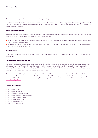Please note that opting out does not block ads, rather it stops tracking.

If you have multiple internet browsers or users on the same computer or device, you will need to perform the opt-out operation for each browser, device, and/or user. If you or your privacy software deletes the opt-out cookie from your computer, browser, or device, you will need to repeat the process.

#### **Mobile Application Opt-Out**

Mobile devices allow users to opt-out of the collection of usage information within their mobile apps. To opt-out of personalized interestbased advertising on your mobile device(s), please take the following steps:

- On Android devices, go to Settings, and then select the option Google. On the resulting screen, select Ads, and you will see the option to opt-out of ads personalization.
- On Apple devices, go to Settings, and then select the option Privacy. On the resulting screen select Advertising, and you will see the option to turn on limited ad tracking.

#### **Location Opt-Out**

By updating the location preferences on your device, or by updating the settings for individual apps, you can block the collection of location data.

#### **Multiple Devices and Browser Opt-Out**

We may use cross-device mapping services in order to link devices that belong to the same user or household. Users can opt-out of the collection of information for each device and browser by taking the steps mentioned above. However, opting out of the collection of information for one device or browser will not result in you being opted-out of the collection of information for other devices or browsers. As such, you may need to opt-out of multiple devices and browsers.

Please note that use of the opt-out cookie will affect our ability to provide you content and advertisements that will more effectively match your interests and may prevent us from controlling the frequency with which you may view any particular advertisement. Please report any problems related to the opt-out process, or any complaints with regard to Online Behavioral Advertising data and its use, to [privacy@miqdigital.com.](mailto:privacy%40miqdigital.com?subject=privacy%40miqdigital.com)

#### **Annex 1 – MiQ Affiliates**

- MiQ Digital USA, Inc.
- MiQ Digital Canada, Inc.
- MiQ Digital India Private Limited
- MiQ Digital Commercial Private Limited
- MiQ Digital (Shanghai) Co. Ltd.
- MiQ Digital Singapore PTE Ltd.
- MiQ Digital Australia PTY Ltd.
- Media iQ Digital India Pvt Ltd.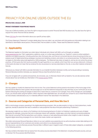# PRIVACY FOR ONLINE USERS OUTSIDE THE EU

#### **Effective Date: January 1, 2020**

#### **PRIVACY STATEMENT/YOUR PRIVACY RIGHTS**

If you are a California resident, you have the right to request access to certain Personal Data MiQ has about you. You also have the right to request that certain Personal Data be deleted.

Please [click here](#page-16-0) for more information about your specific privacy rights.

This Privacy Statement ("Statement") contains details about how we collect, use, and share with third parties any information relating to an identified or identifiable natural person ("Personal Data") that we obtain or collect. Please read this Statement carefully.

## **1 – Applicability**

This Statement applies to information we collect about individuals who interact with MiQ, such as through our website, [www.wearemiq.com](http://www.wearemiq.com) (our "Site"), applications, platforms, email, or in other ways (collectively, our "Systems"); visitors to other publisher's websites and digital properties, including advertiser sites, third party sites, and Internet-connected devices whose browsing activities we analyze as part of digital advertising campaigns; business and marketing contacts; and visitors to our physical premises. This Statement does not apply to information about job applicants or MiQ employees. This Statement also does not apply to, and we do not control the privacy practices, of third-party sites that may be accessible through hyperlinks on our website, which have their own privacy statements. Linking to a third-party site does not mean that we endorse the site, any products or services described on the site, or any other material contained in that site.

Whenever you interact with MiQ or provide information to us on behalf of another individual or entity, such as by providing or accessing Personal Data about another individual, you represent that you have the authority to do so.

If you do not agree with our policies and practices, do not access, use, or otherwise interact with our Systems. You can also exercise certain choices about how we handle your information in the [Choices section](#page-16-0) below.

## **2 – Changes**

We may update or modify this Statement from time to time. The current Statement will be posted at the bottom of the home page of the Site and will be effective when posted. We encourage you to visit this Statement frequently to stay informed, as your continued use of our Systems following the posting of changes to these terms means that you consent to such changes. If any of the changes are unacceptable to you, you should cease using the Systems. When required under applicable laws, we will seek your consent to use or share Personal Data we have already collected about you in a materially different manner than described in this Statement.

## **3 – Sources and Categories of Personal Data, and How We Use It**

MiQ is a technology company operating in the digital advertising ecosystem. We use data analytics to help our clients (advertisers, media agencies, brands) to advertise their ads on websites or web properties that allow third party advertising ("Publishers")

We develop insights for our clients or for Publishers into the browsing behavior of visitor's to Publisher's websites and users of digital properties (for example, consumers that visit or otherwise interact with websites, mobile apps, and other Internet-connected properties (like Internet-connected TVs)) that advertisers use to deliver, measure or track advertising and obtain other insights in order to develop targeted digital advertising campaigns for our clients that create a better user experience.

We collect and process Personal Data about visitors to our own website www.wearemiq.com as well as business contact data relating to the account representatives of our customers and vendors, and visitors to our physical premises. We may source, use and otherwise process Personal Data in different ways in regard to each of these data subject categories, as explained in the following sections:

We may combine information that we receive from the various sources described in this Statement, including third party sources, and use or disclose it for the purposes identified below.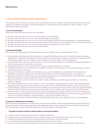#### **A. Visitors to Publishers' Websites and Users of Digital Properties**

We may collect information about consumers that visit and otherwise interact with websites, mobile apps, and other Internet-connected properties that publishers, advertisers, and other third parties (or companies acting on their behalf) use to deliver, measure, or track advertising and obtain other insights.

#### **i. Sources of Personal Data**

We generally obtain information about you from third parties.

- ▼ We obtain information about you and your use of the Systems from MiQ Affiliates.
- ▼ We obtain information about you from our clients seeking to place advertisements.
- We obtain information about you from our service and content providers that help us place advertisements or measure effectiveness.
- We obtain information about you from companies that provide or sell information we use to target advertising or measure effectiveness.
- We obtain information about you from parties that place cookies or advertisements on their websites.
- ▼ We obtain information about you from other users of the Systems.

#### **ii. Information We Collect**

MiQ may collect the following types of Personal Data about visitors to Publisher's sites and digital properties such as:

- Device Identifying Information and Other Identifiers, such as data that identifies you like a user ID, cookie ID, hashed email address, registration ID or segment ID, and data that identifies your device or web browser like user agent, device ID, cross-device ID, hashed TV identification, device type, URL, IP address, location address, browser information or other similar identifiers.
- Commercial information, such as customer ID, products or services purchased, obtained, or considered and associated timestamps, or other purchasing or consuming histories or tendencies.
- **Demographic information, such as your age, ethnicity, gender, marital or familial status, or education.**
- Household information, such as household income, presence of children in the household, or TV commercial and program viewing history (tied to devices in the house).
- Internet or other electronic network activity information, such as your browsing behavior, search behavior within websites and applications, or information regarding your interactions with an Internet-connected website, application, or advertisement.
- Geolocation information, such as zip code, your precise location based on your device's global position systems (GPS) signal, truncated latitude and longitude, and approximate location data from your IP address.
- Inferences drawn from any of the information we collect to create a profile about you reflecting your preferences, characteristics, behavior, or attitudes.
- Non-sensitive health information, in the US, based on visits to the websites or mobile applications of select health-related advertisers (retargeting) and standard audiences from 3rd party data providers. A full list of standard health categories used can be found [here.](http://www.wearemiq.com/wp-content/uploads/2020/07/MiQ-Standard-Health-Categories-2020.pdf)
- **Example retargeting segments would include visitors to websites of MiQ clients promoting over-the-counter drugs, generalist hospitals** and health centers, or prescription drugs and medical devices for common conditions such as high cholesterol or type-2 diabetes.
- Political information, in the US, we may use data from 3rd party data providers that is based on political information or interests such as party membership, political affiliation and voter registration. A list of standard political segments used can be found [here.](https://cdn2.hubspot.net/hubfs/4784870/MiQ%20Standard%20Political%20Segments%202020.pdf) We also may work with some political campaigns to utilize their data (e.g., voting history, registration status, etc.).
- Viewed content information, we collect information about the video content you view on certain smart TVs or connected devices.

#### **iii. Purposes for Collecting Your Information**

MiQ does not place ads targeted to the characteristics of any particular individual. Instead, we generally target population segments or groups of individuals. These segments generally involve aggregated groups of users, typically thousands or hundreds of thousands of users who may share common characteristics. MiQ may use your information in the following ways:

#### **• To provide our services to clients or receive products or services from vendors:**

- to deliver or assist our clients and business partners to deliver targeted ads;
- to enable service and content providers to assist or facilitate our provision of advertising and other services to our clients;
- $\triangleright$  to measure and analyze the effectiveness of the ads presented and trends in social media activity;
- **to more effectively match advertisements and website content with users' interests; and**
- to provide customer service, process transactions, verify customer information, manage customer records, or similar services.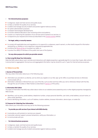#### **• For internal business purposes:**

- to diagnose, repair and track service and quality issues:
- $\bullet$  to help us maintain the quality of our services:
- $\blacktriangleright$  to detect and manage security incidents and protect against malicious activity;
- $\blacksquare$  for system administration purposes:
- $\blacktriangleright$  to research technological developments;
- to monitor statistical data about users' browsing actions and patterns;
- to assist us in improving the operation of our services and to enhance our services; or
- to respond to your requests and choices (as described in the [Choices section](#page-16-0) below).

#### **• For legal, safety, or security reasons:**

- to comply with applicable laws and regulations or to respond to a subpoena, search warrant, or other lawful request for information received by us, whether or not a response is required by applicable law;
- **to enforce the [Terms of Use](https://www.wearemiq.com/terms-conditions/) or to protect our rights; or**
- to protect the safety of members of the public and users of the Systems.

#### **• For any other purpose for which you provide consent.**

#### **iv. How Long We Keep Your Information**

Data that MiQ collects about users' activities and interactions with digital properties is generally kept for no more than 2 years, after which it is anonymized or aggregated. Anonymous and aggregated information may be stored for up to 7 years for internal business purposes.

#### **B. Visitors to our Site**

#### **i. Sources of Personal Data**

We may collect information about you in the following ways:

- Information you provide to us directly, such as when you register on our Site; sign up for offers or purchase services or otherwise communicate with us.
- Information collected or inferred from your use of the Site, such as when and how often you visit or otherwise interact with the Site, through the use of Cookies or Web Trackers as described in [Section 5](#page-16-0) of this policy.

#### **ii. Information We Collect**

The types of information that MiQ may collect about visitors to our website (www.wearemiq.com) or other digital properties managed by MiQ include:

- Identifiers, such as name, postal address, telephone number, unique personal identifier, user name, email address, account name, or other similar identifiers.
- Device identifying information, such as IP address, location address, browser information, device type, or cookie IDs.

#### **iii. Purposes for Collecting Your Information**

MiQ collects your information and may use for the following purposes:

- **• To provide you with services if you interact with MiQ directly:**
- $\blacktriangleright$  to provide you with products or services you request;
- **to provide customer support, process transactions, verify your information; or**
- $\blacktriangleright$  to communicate with you.
- **• For internal business purposes:**
- $\blacktriangleright$  to diagnose, repair, and track service and quality issues;
- $\bullet$  to help us maintain the quality of our services;
- to detect and manage security incidents and protect against malicious activity;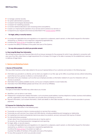- to manage customer records;
- $\blacktriangleright$  for system administration purposes;
- to research technological developments:
- $\bullet$  to research for marketing purposes:
- to monitor statistical data about users' browsing actions and patterns;
- $\triangleright$  to assist us in improving the operation of our services and to enhance our services; or
- to respond to your requests and choices (as described in the [Choices section](#page-16-0) below).

#### **• For legal, safety, or security reasons:**

- to comply with applicable laws and regulations or to respond to a subpoena, search warrant, or other lawful request for information received by us, whether or not a response is required by applicable law;
- to enforce the [Terms of Use](https://www.wearemiq.com/terms-conditions/) or to protect our rights; or
- to protect the safety of members of the public and users of the Systems.

#### **• For any other purpose for which you provide consent.**

#### **iv. How Long We Keep Your Information**

We will keep and process your Personal Data only for as long as necessary for the purposes for which it was collected in connection with your use of our Site, unless there is a legal requirement for us to keep it for longer or the data is necessary for the establishment, exercise, or defense of legal claims.

#### **C. Business and Marketing Contacts**

#### **i. Sources of Personal Data**

We may collect business contact data related to the account representatives of our customers and vendors in the following ways:

- Information you provide to us directly, such as when you register on our Site; sign up for offers or purchase services; attend networking events that we host, sponsor or attend; or communicate with us.
- Information from your employer, such as when your employer provides us information related to its use of or interaction with our services or products.
- Information from publicly available sources, such as your company website or social media sites.
- Information from MiQ Affiliates (please see Annex 1 for a list of our Affiliates).

#### **ii. Information We Collect**

The types of information that MiQ may collect about you include:

- $\blacksquare$  Identifiers, such as name or user name.
- Professional or employment-related information, such as business postal address, business telephone number, business email address, job title, organization, and other information you provide when purchasing our services.
- Payment Information, such as bank information, credit card details or other data necessary for MiQ or its service providers to process payments.

#### **iii. Purposes For Collecting Your Information**

MiQ may use your information in the following ways:

- $\blacksquare$  To provide our services to clients or receive products or services from vendors.
- To provide you with services if you interact with MiQ directly, including establishing and managing our relationship.
- For marketing to let clients and potential clients know about our products, services, and events that may be of interest.
- For internal business purposes: to learn about how our products and services are or may be used; or for security, risk, and fraud prevention management and reporting.
- For legal, safety, or security reasons: to comply with applicable laws and regulations or to respond to a subpoena, search warrant, or other lawful request for information received by us, whether or not a response is required by applicable law; to enforce the [Terms of Use](https://www.wearemiq.com/terms-conditions/) or to protect our rights; or to protect the safety of members of the public and users of the Systems.
- $\blacktriangleright$  For any other purpose for which you provide consent.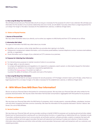#### **iv. How Long We Keep Your Information**

We will keep and process your Personal Data only for as long as is necessary for the purposes for which it was collected. We will keep your information for the duration of our business relationship and once it ends, we will delete it securely unless there is a legal requirement for us to keep it for longer or the data is necessary for the establishment, exercise, or defense of legal claims.

#### **D. Visitors to Physical Premises**

#### **i. Sources of Personal Data**

We may collect information about you directly, such as when you register at a MiQ facility and from CCTV cameras at our offices.

#### **ii. Information We Collect**

The types of information that MiQ may collect about you include:

- Identifiers, such as name or other similar identifiers you provide when signing in at a facility.
- Professional or employment-related information, such as business postal address, business telephone number, business email address, job title, or organization.
- Visual information such as images of you collected via CCTV cameras at our premises.

#### **iii. Purposes for Collecting Your Information**

- For internal business purposes to maintain records of visitors to our premises.
- For legal, safety, or security reasons:

 to comply with applicable laws and regulations or to respond to a subpoena, search warrant, or other lawful request for information received by us, whether or not a response is required by applicable law;

to enforce the [Terms of Use](https://www.wearemiq.com/terms-conditions/) or to protect our rights; or

to protect the safety of members of the public and users of the Systems.

#### **iv. How Long We Keep Your Information**

We keep your Personal Data for as long as necessary for security purposes. CCTV footage is stored in back-up for 30 days, unless there is a legal requirement for us to keep it longer or the data is necessary for the establishment, exercise, or defense of legal claims.

## **4 – With Whom Does MiQ Share Your Information?**

We do not sell your Personal Data to third parties for commercial purposes. We may share your Personal Data with other entities for the purposes disclosed below. We may also share information that has been anonymized or aggregated with third parties for any purpose.

#### **A. Affiliates and Subsidiaries**

We may share your Personal Data within the MiQ family of companies, which includes parents, corporate affiliates, subsidiaries, business units and other companies that share common ownership. We share the information for the purposes disclosed in Section 3 above. See Annex 1 for a list of MiQ Affiliates.

#### **B. Service Providers**

We may share your Personal Data with service providers working on behalf of MiQ for purposes such as placing ads and activities related thereto (such as fraud prevention), assisting with our internal business functions, or supporting our relationship with you. Examples include IT providers, professional advisors (such as accountants), ad verification partners, software providers, analytics companies that assist with cross-device tracking, technical support providers that assist with placement and tracking of cookies and collection of data (including information about preferences and other online activities), service providers that process credit card transactions with our customers, and marketing providers.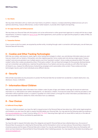#### <span id="page-16-0"></span>**C. Our Clients**

We may share information with our clients who have hired us to perform, measure, or analyze advertising related services such as to optimize advertising, measure effectiveness, conduct market research, or provide other insights and reporting.

#### **D. For Legal, Security, and Safety purposes**

We may share your Personal Data with third parties such as law enforcement or other government agencies to comply with the law or legal requirements, to enforce or apply our [Terms of Use](https://www.wearemiq.com/terms-conditions/) and other agreements, and to protect our rights and the property or safety of MiQ, our users, or third parties.

#### **E. Transaction Partners**

If we, or some or all of our assets, are acquired by another entity, including through a sale in connection with bankruptcy, we will share your Personal Data with that entity.

### **5 – Cookies and Other Tracking Technologies**

MiQ may use cookies, web beacons, pixels, tags or other tracking technologies to collect, use, and disclose information about you and how you interact with our Systems, third parties, and other digital properties. Some cookies exist only during a single session ("session cookies") and some are persistent over multiple sessions over time ("persistent cookies"). Some cookies are placed by MiQ ("first-party cookies") while other cookies are placed by others ("third-party cookies"). We use these technologies for the purposes disclosed above, such as to remember user preferences, maximize the performance of our Systems and services, provide you with offers that may be of interest to you, measure the effectiveness of advertising campaigns and to personalize online content. These cookies and other technologies may be used to track individuals across different devices.

### **6 – Security**

MiQ will take reasonable security precautions to protect the Personal Data that we handle from accidental or unlawful destruction, loss, disclosure, misuse, or alteration.

## **7 – Information About Children**

MiQ does not intentionally collect information from children under 16 years of age, and children under age 16 should not submit any information to us. MiQ Systems are neither developed for, nor directed at, children. If we become aware that a child has provided us with information without parental consent, or a parent or guardian of a child contacts us through the contact information provided below, we will use reasonable efforts to delete the child's information from our databases.

### **8 – Your Choices**

#### **A. California Privacy Rights**

If you are a California resident, you have the right to request access to the Personal Data we have about you. With certain legal exceptions and limitations, you also have the right to request that MiQ delete your Personal Data. You may exercise the following rights by emailing us at [privacy@miqdigital.com](mailto:privacy%40miqdigital.com?subject=privacy%40miqdigital.com) or learn more by calling (800) 756-8340. Exercising these rights will not cause MiQ to treat you or the data we have about you in any manner prohibited by applicable law.

#### **i. Right to Know**

You have the right to request information about the categories and specific Personal Data we have collected about you, the sources of Personal Data, the purposes for collecting the Personal Data, and the third parties to whom we have sold your Personal Data or shared it for a business purpose and the types of Personal Data sold or shared. You may also specifically request information about any third parties with whom we have shared your Personal Data for those third parties' direct marketing purposes. You may request this information by emailing us at [privacy@miqdigital.com.](mailto:privacy%40miqdigital.com?subject=privacy%40miqdigital.com)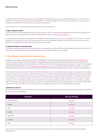In order to verify your identity, we may ask for some additional information from you (e.g., your email address or your country or state of residence.) In most cases, we do not store your email address or other identifiable elements. To verify your identity, we may ask you to provide some additional information about your device or web browser.

Note that you may only request access to your data twice per 12-month period.

#### **ii. Right to Request Deletion**

You have the right to request that MiQ delete your Personal Data. Subject to certain legal exceptions and limitations, MiQ will delete the data it has about you. To request that your data be deleted, please email us at [privacy@miqdigital.com](mailto:privacy%40miqdigital.com?subject=privacy%40miqdigital.com).

In order to verify your identity, we may ask for some additional information from you (e.g., your email address or your country or state of residence.) In most cases, we do not store your email address or other identifiable elements. To verify your identity, we may ask you to provide some additional information about your device or web browser.

#### **iii. Requests through an authorized agent**

You have the ability to designate an authorized agent to make requests on your behalf. We may ask for additional information from you or your agent to confirm that they are authorized to make access and deletion requests on your behalf.

#### **B. Choices Related to Cookies and Interest-Based Advertisings**

We adhere to the Digital Advertising Alliance ("DAA") Self-Regulatory Principles for Online Behavioral Advertising. Visit [www.aboutads.info](http://www.aboutads.info/) to exercise choice with respect to DAA participants, including opting out of Online Behavioral Advertising. MiQ is also a member of the Network Advertising Initiative ("NAI") and adheres to the NAI Code of Conduct for providing notice and choice with respect to Interest-Based Advertising and related activities. Visit [www.optout.networkadvertising.org](http://www.optout.networkadvertising.org/) to opt out of Interest-Based Advertising. Opting out of Interest-Based Advertising will not opt you out of all advertising, but rather only Interest-Based Advertising from MiQ or its agents or representatives.

Some browsers have incorporated Do Not Track ("DNT") preferences. Most of these features, when turned on, send signals to the website you are visiting that you do not wish to have information about your online searching and browsing activities collected and used. As there is not yet a common agreement about how to interpret DNT signals, we do not honor browser DNT signals from website browsers at this time. However, you may refuse or delete cookies or use the "opt out" option available through the DAA or NAI. If you refuse or delete cookies, some of our website functionality may be impaired. If you change computers, devices, or browsers, or use multiple computers, devices, or browsers, and delete your cookies, you may need to repeat this process for each computer, device, or browser. Please refer to your browsers' Help instructions to learn more about how to manage cookies and the use of other tracking technologies.

#### **i. Web Browser Opt-Out**

MiQ serves cookies, and works with partners to serve cookies, in order to provide relevant advertising. View the chart below for additional opt-out options for MiQ targeting.

| <b>SERVED BY</b>         | <b>OPT-OUT OPTIONS</b> |
|--------------------------|------------------------|
| <b>Trade Desk/Adsrvr</b> | <b>Click here</b>      |
| Google                   | <b>Click here</b>      |
| Jivox                    | <b>Click here</b>      |
| Amazon                   | <b>Click here</b>      |
| Xandr/MiQ                | <b>Click here</b>      |
| Liveramp                 | <b>Click here</b>      |
| Vizio                    | <b>Click here</b>      |

Please note that opting out does not block ads from appearing, rather it stops tracking your activity and providing interest-based advertisements.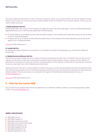If you have multiple internet browsers or users on the same computer or device, you will need to perform the opt-out operation for each browser, device, and/or user. If you or your privacy software deletes the opt-out cookie from your computer, browser, or device, you will need to repeat the process.

#### **ii. Mobile Application Opt-Out**

Mobile devices allow users to opt-out of the collection of usage information within their mobile apps. To opt-out of personalized interestbased advertising on your mobile device(s), please take the following steps:

- On Android devices, go to Settings, and then select the option Google. On the resulting screen, select Ads, and you will see the option to opt-out of ads personalization.
- On Apple devices, go to Settings, and then select the option Privacy. On the resulting screen select Advertising, and you will see the option to turn on limited ad tracking.

[Click here](https://www.networkadvertising.org/mobile-choice/) for NAI mobile opt out.

#### **iii. Location Opt-Out**

By updating the location preferences on your device, or by updating the settings for individual apps, you can block the collection of location data.

#### **iv. Multiple Devices and Browser Opt-Out**

We may use cross-device mapping services in order to link devices that belong to the same user or household. Users can opt-out of the collection of information for each device and browser by taking the steps mentioned above. However, opting out of the collection of information for one device or browser will not result in you being opted-out of the collection of information for other devices or browsers. As such, you may need to opt-out of multiple devices and browsers.

Please note that use of the opt-out cookie will affect our ability to provide you content and advertisements that will more effectively match your interests and may prevent us from controlling the frequency with which you may view any particular advertisement. Please report any problems related to the opt-out process, or any complaints with regard to Online Behavioral Advertising data and its use, to [privacy@miqdigital.com.](mailto:privacy%40miqdigital.com?subject=privacy%40miqdigital.com)

[Click here](http://optout.networkadvertising.org/?c=1) for NAI web browser opt out.

## **9 – How Can You Contact MiQ**

If you should have any questions about this Privacy Statement or our information collection, retention, use and sharing practices, please contact us at [privacy@miqdigital.com.](mailto:privacy%40miqdigital.com?subject=privacy%40miqdigital.com)

#### **ANNEX 1: MIQ AFFILIATES**

- MiQ Digital USA, Inc.
- MiQ Digital Canada, Inc.
- MiQ Digital India Private Limited
- MiQ Digital Commercial Private Limited
- MiQ Digital (Shanghai) Co. Ltd.
- MiQ Digital Singapore PTE Ltd.
- MiQ Digital Australia PTY Ltd.
- **Media iQ Digital India Pvt Ltd.**